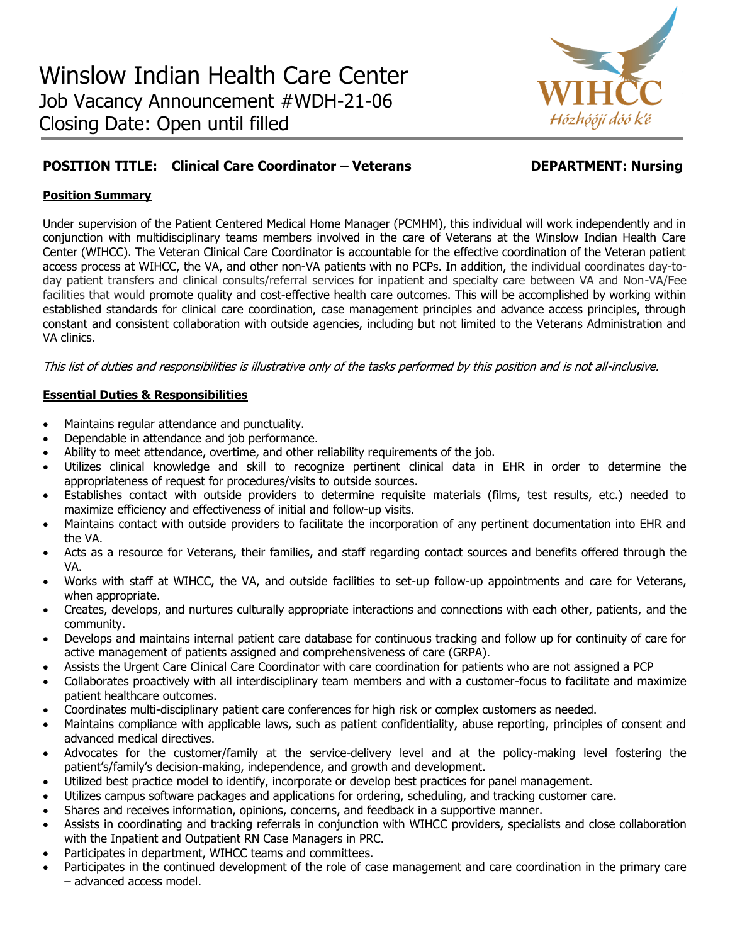

# **POSITION TITLE: Clinical Care Coordinator – Veterans DEPARTMENT: Nursing**

## **Position Summary**

Under supervision of the Patient Centered Medical Home Manager (PCMHM), this individual will work independently and in conjunction with multidisciplinary teams members involved in the care of Veterans at the Winslow Indian Health Care Center (WIHCC). The Veteran Clinical Care Coordinator is accountable for the effective coordination of the Veteran patient access process at WIHCC, the VA, and other non-VA patients with no PCPs. In addition, the individual coordinates day-today patient transfers and clinical consults/referral services for inpatient and specialty care between VA and Non-VA/Fee facilities that would promote quality and cost-effective health care outcomes. This will be accomplished by working within established standards for clinical care coordination, case management principles and advance access principles, through constant and consistent collaboration with outside agencies, including but not limited to the Veterans Administration and VA clinics.

This list of duties and responsibilities is illustrative only of the tasks performed by this position and is not all-inclusive.

#### **Essential Duties & Responsibilities**

- Maintains regular attendance and punctuality.
- Dependable in attendance and job performance.
- Ability to meet attendance, overtime, and other reliability requirements of the job.
- Utilizes clinical knowledge and skill to recognize pertinent clinical data in EHR in order to determine the appropriateness of request for procedures/visits to outside sources.
- Establishes contact with outside providers to determine requisite materials (films, test results, etc.) needed to maximize efficiency and effectiveness of initial and follow-up visits.
- Maintains contact with outside providers to facilitate the incorporation of any pertinent documentation into EHR and the VA.
- Acts as a resource for Veterans, their families, and staff regarding contact sources and benefits offered through the VA.
- Works with staff at WIHCC, the VA, and outside facilities to set-up follow-up appointments and care for Veterans, when appropriate.
- Creates, develops, and nurtures culturally appropriate interactions and connections with each other, patients, and the community.
- Develops and maintains internal patient care database for continuous tracking and follow up for continuity of care for active management of patients assigned and comprehensiveness of care (GRPA).
- Assists the Urgent Care Clinical Care Coordinator with care coordination for patients who are not assigned a PCP
- Collaborates proactively with all interdisciplinary team members and with a customer-focus to facilitate and maximize patient healthcare outcomes.
- Coordinates multi-disciplinary patient care conferences for high risk or complex customers as needed.
- Maintains compliance with applicable laws, such as patient confidentiality, abuse reporting, principles of consent and advanced medical directives.
- Advocates for the customer/family at the service-delivery level and at the policy-making level fostering the patient's/family's decision-making, independence, and growth and development.
- Utilized best practice model to identify, incorporate or develop best practices for panel management.
- Utilizes campus software packages and applications for ordering, scheduling, and tracking customer care.
- Shares and receives information, opinions, concerns, and feedback in a supportive manner.
- Assists in coordinating and tracking referrals in conjunction with WIHCC providers, specialists and close collaboration with the Inpatient and Outpatient RN Case Managers in PRC.
- Participates in department, WIHCC teams and committees.
- Participates in the continued development of the role of case management and care coordination in the primary care – advanced access model.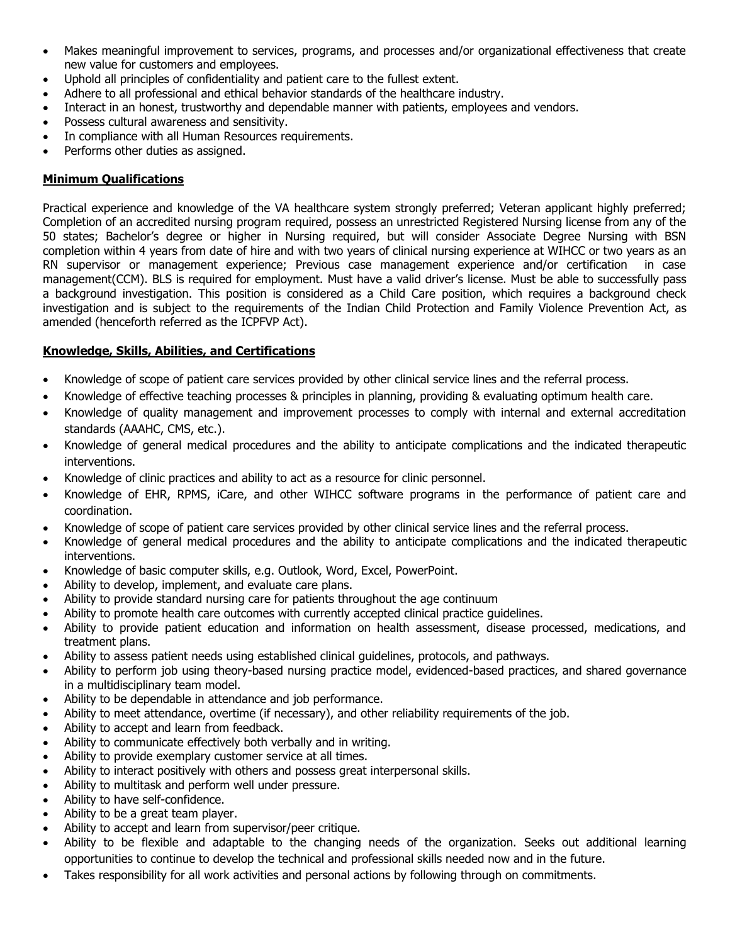- Makes meaningful improvement to services, programs, and processes and/or organizational effectiveness that create new value for customers and employees.
- Uphold all principles of confidentiality and patient care to the fullest extent.
- Adhere to all professional and ethical behavior standards of the healthcare industry.
- Interact in an honest, trustworthy and dependable manner with patients, employees and vendors.
- Possess cultural awareness and sensitivity.
- In compliance with all Human Resources requirements.
- Performs other duties as assigned.

## **Minimum Qualifications**

Practical experience and knowledge of the VA healthcare system strongly preferred; Veteran applicant highly preferred; Completion of an accredited nursing program required, possess an unrestricted Registered Nursing license from any of the 50 states; Bachelor's degree or higher in Nursing required, but will consider Associate Degree Nursing with BSN completion within 4 years from date of hire and with two years of clinical nursing experience at WIHCC or two years as an RN supervisor or management experience; Previous case management experience and/or certification in case management(CCM). BLS is required for employment. Must have a valid driver's license. Must be able to successfully pass a background investigation. This position is considered as a Child Care position, which requires a background check investigation and is subject to the requirements of the Indian Child Protection and Family Violence Prevention Act, as amended (henceforth referred as the ICPFVP Act).

# **Knowledge, Skills, Abilities, and Certifications**

- Knowledge of scope of patient care services provided by other clinical service lines and the referral process.
- Knowledge of effective teaching processes & principles in planning, providing & evaluating optimum health care.
- Knowledge of quality management and improvement processes to comply with internal and external accreditation standards (AAAHC, CMS, etc.).
- Knowledge of general medical procedures and the ability to anticipate complications and the indicated therapeutic interventions.
- Knowledge of clinic practices and ability to act as a resource for clinic personnel.
- Knowledge of EHR, RPMS, iCare, and other WIHCC software programs in the performance of patient care and coordination.
- Knowledge of scope of patient care services provided by other clinical service lines and the referral process.
- Knowledge of general medical procedures and the ability to anticipate complications and the indicated therapeutic interventions.
- Knowledge of basic computer skills, e.g. Outlook, Word, Excel, PowerPoint.
- Ability to develop, implement, and evaluate care plans.
- Ability to provide standard nursing care for patients throughout the age continuum
- Ability to promote health care outcomes with currently accepted clinical practice guidelines.
- Ability to provide patient education and information on health assessment, disease processed, medications, and treatment plans.
- Ability to assess patient needs using established clinical guidelines, protocols, and pathways.
- Ability to perform job using theory-based nursing practice model, evidenced-based practices, and shared governance in a multidisciplinary team model.
- Ability to be dependable in attendance and job performance.
- Ability to meet attendance, overtime (if necessary), and other reliability requirements of the job.
- Ability to accept and learn from feedback.
- Ability to communicate effectively both verbally and in writing.
- Ability to provide exemplary customer service at all times.
- Ability to interact positively with others and possess great interpersonal skills.
- Ability to multitask and perform well under pressure.
- Ability to have self-confidence.
- Ability to be a great team player.
- Ability to accept and learn from supervisor/peer critique.
- Ability to be flexible and adaptable to the changing needs of the organization. Seeks out additional learning opportunities to continue to develop the technical and professional skills needed now and in the future.
- Takes responsibility for all work activities and personal actions by following through on commitments.